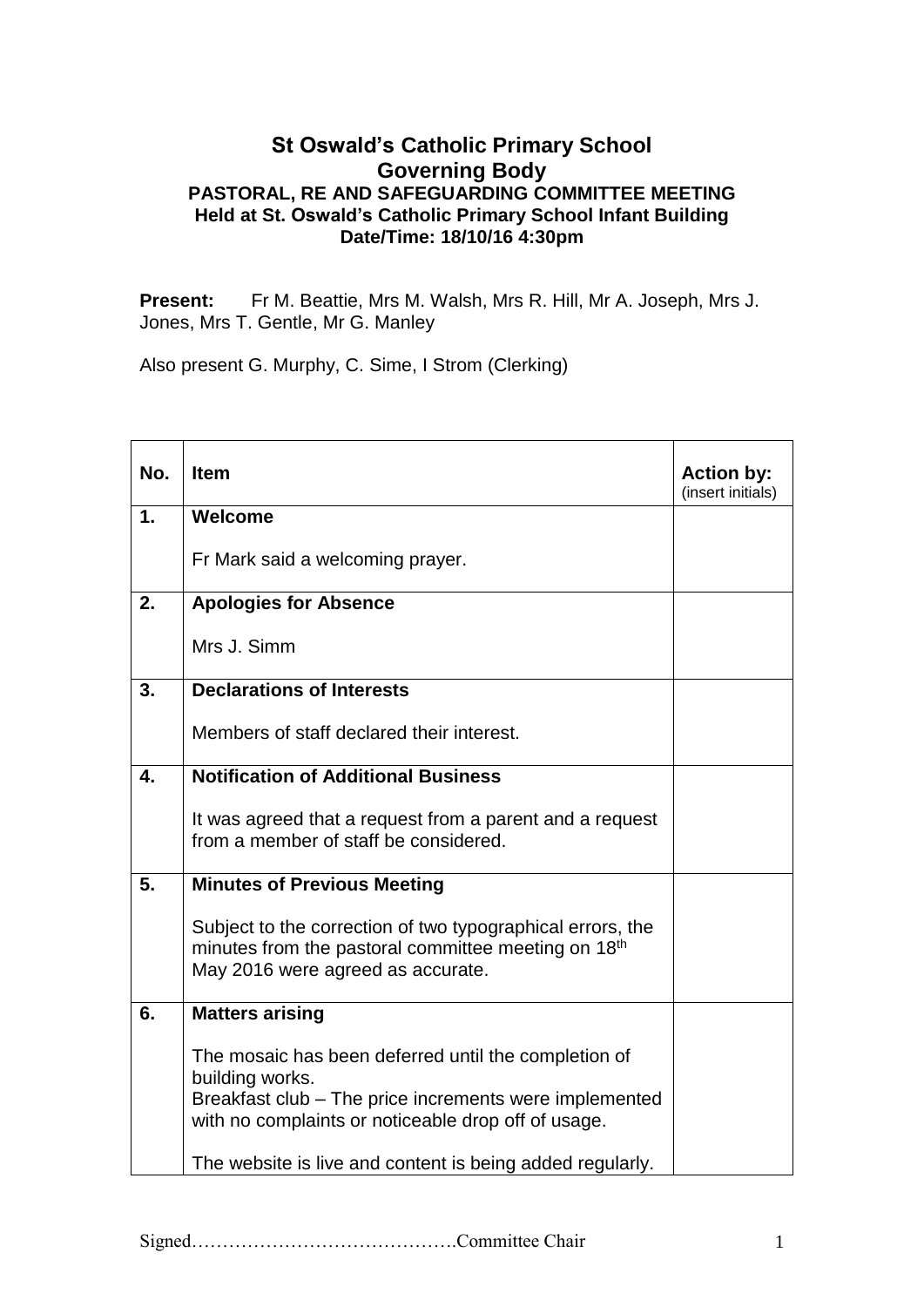## **St Oswald's Catholic Primary School Governing Body PASTORAL, RE AND SAFEGUARDING COMMITTEE MEETING Held at St. Oswald's Catholic Primary School Infant Building Date/Time: 18/10/16 4:30pm**

Present: Fr M. Beattie, Mrs M. Walsh, Mrs R. Hill, Mr A. Joseph, Mrs J. Jones, Mrs T. Gentle, Mr G. Manley

Also present G. Murphy, C. Sime, I Strom (Clerking)

| No. | <b>Item</b>                                                                                                                                                                              | <b>Action by:</b><br>(insert initials) |
|-----|------------------------------------------------------------------------------------------------------------------------------------------------------------------------------------------|----------------------------------------|
| 1.  | Welcome                                                                                                                                                                                  |                                        |
|     | Fr Mark said a welcoming prayer.                                                                                                                                                         |                                        |
| 2.  | <b>Apologies for Absence</b>                                                                                                                                                             |                                        |
|     | Mrs J. Simm                                                                                                                                                                              |                                        |
| 3.  | <b>Declarations of Interests</b>                                                                                                                                                         |                                        |
|     | Members of staff declared their interest.                                                                                                                                                |                                        |
| 4.  | <b>Notification of Additional Business</b>                                                                                                                                               |                                        |
|     | It was agreed that a request from a parent and a request<br>from a member of staff be considered.                                                                                        |                                        |
| 5.  | <b>Minutes of Previous Meeting</b>                                                                                                                                                       |                                        |
|     | Subject to the correction of two typographical errors, the<br>minutes from the pastoral committee meeting on 18 <sup>th</sup><br>May 2016 were agreed as accurate.                       |                                        |
| 6.  | <b>Matters arising</b>                                                                                                                                                                   |                                        |
|     | The mosaic has been deferred until the completion of<br>building works.<br>Breakfast club - The price increments were implemented<br>with no complaints or noticeable drop off of usage. |                                        |
|     | The website is live and content is being added regularly.                                                                                                                                |                                        |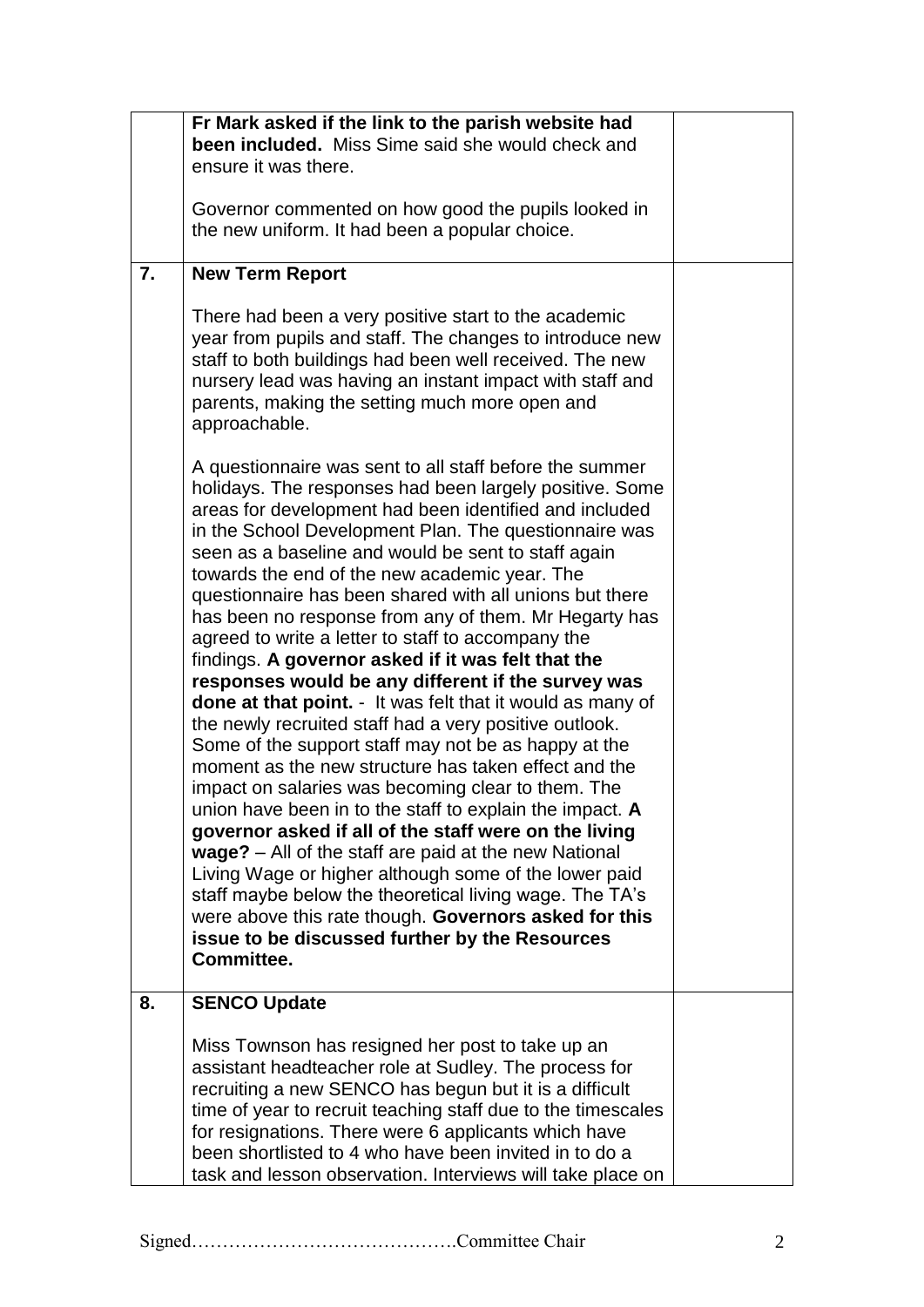|    | Fr Mark asked if the link to the parish website had                                                                                                                                                                                                                                                                                                                                                                                                                                                                                                                                                                                                                                                                                                                                                                                                                                                                                                                                                                                                                                                                                                                                                                                                                                                                                                          |  |
|----|--------------------------------------------------------------------------------------------------------------------------------------------------------------------------------------------------------------------------------------------------------------------------------------------------------------------------------------------------------------------------------------------------------------------------------------------------------------------------------------------------------------------------------------------------------------------------------------------------------------------------------------------------------------------------------------------------------------------------------------------------------------------------------------------------------------------------------------------------------------------------------------------------------------------------------------------------------------------------------------------------------------------------------------------------------------------------------------------------------------------------------------------------------------------------------------------------------------------------------------------------------------------------------------------------------------------------------------------------------------|--|
|    | been included. Miss Sime said she would check and                                                                                                                                                                                                                                                                                                                                                                                                                                                                                                                                                                                                                                                                                                                                                                                                                                                                                                                                                                                                                                                                                                                                                                                                                                                                                                            |  |
|    | ensure it was there.                                                                                                                                                                                                                                                                                                                                                                                                                                                                                                                                                                                                                                                                                                                                                                                                                                                                                                                                                                                                                                                                                                                                                                                                                                                                                                                                         |  |
|    | Governor commented on how good the pupils looked in                                                                                                                                                                                                                                                                                                                                                                                                                                                                                                                                                                                                                                                                                                                                                                                                                                                                                                                                                                                                                                                                                                                                                                                                                                                                                                          |  |
|    | the new uniform. It had been a popular choice.                                                                                                                                                                                                                                                                                                                                                                                                                                                                                                                                                                                                                                                                                                                                                                                                                                                                                                                                                                                                                                                                                                                                                                                                                                                                                                               |  |
|    |                                                                                                                                                                                                                                                                                                                                                                                                                                                                                                                                                                                                                                                                                                                                                                                                                                                                                                                                                                                                                                                                                                                                                                                                                                                                                                                                                              |  |
| 7. | <b>New Term Report</b>                                                                                                                                                                                                                                                                                                                                                                                                                                                                                                                                                                                                                                                                                                                                                                                                                                                                                                                                                                                                                                                                                                                                                                                                                                                                                                                                       |  |
|    | There had been a very positive start to the academic<br>year from pupils and staff. The changes to introduce new<br>staff to both buildings had been well received. The new<br>nursery lead was having an instant impact with staff and<br>parents, making the setting much more open and<br>approachable.                                                                                                                                                                                                                                                                                                                                                                                                                                                                                                                                                                                                                                                                                                                                                                                                                                                                                                                                                                                                                                                   |  |
|    | A questionnaire was sent to all staff before the summer<br>holidays. The responses had been largely positive. Some<br>areas for development had been identified and included<br>in the School Development Plan. The questionnaire was<br>seen as a baseline and would be sent to staff again<br>towards the end of the new academic year. The<br>questionnaire has been shared with all unions but there<br>has been no response from any of them. Mr Hegarty has<br>agreed to write a letter to staff to accompany the<br>findings. A governor asked if it was felt that the<br>responses would be any different if the survey was<br>done at that point. - It was felt that it would as many of<br>the newly recruited staff had a very positive outlook.<br>Some of the support staff may not be as happy at the<br>moment as the new structure has taken effect and the<br>impact on salaries was becoming clear to them. The<br>union have been in to the staff to explain the impact. A<br>governor asked if all of the staff were on the living<br>wage? - All of the staff are paid at the new National<br>Living Wage or higher although some of the lower paid<br>staff maybe below the theoretical living wage. The TA's<br>were above this rate though. Governors asked for this<br>issue to be discussed further by the Resources<br>Committee. |  |
| 8. | <b>SENCO Update</b>                                                                                                                                                                                                                                                                                                                                                                                                                                                                                                                                                                                                                                                                                                                                                                                                                                                                                                                                                                                                                                                                                                                                                                                                                                                                                                                                          |  |
|    | Miss Townson has resigned her post to take up an<br>assistant headteacher role at Sudley. The process for<br>recruiting a new SENCO has begun but it is a difficult<br>time of year to recruit teaching staff due to the timescales<br>for resignations. There were 6 applicants which have<br>been shortlisted to 4 who have been invited in to do a<br>task and lesson observation. Interviews will take place on                                                                                                                                                                                                                                                                                                                                                                                                                                                                                                                                                                                                                                                                                                                                                                                                                                                                                                                                          |  |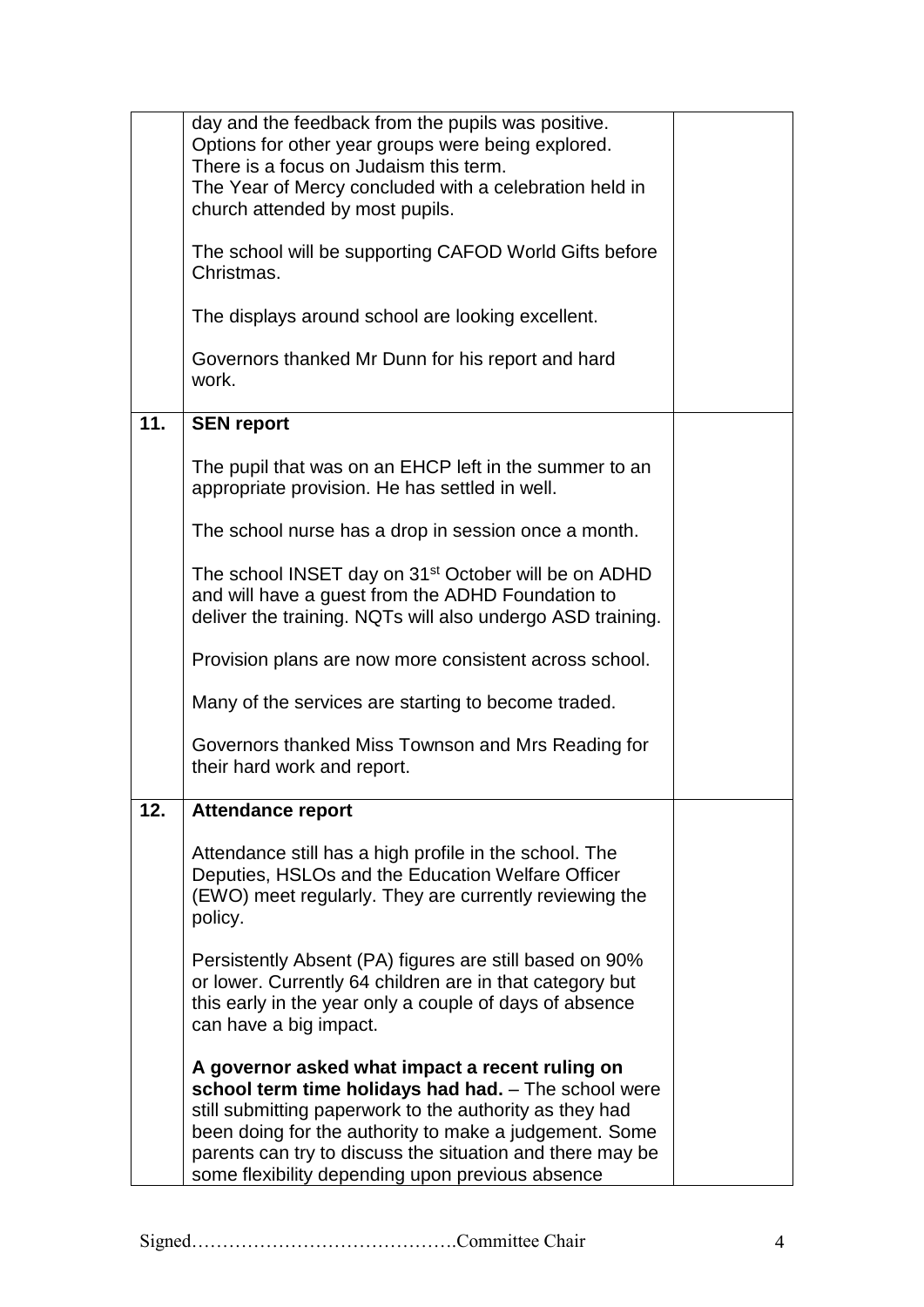|     | day and the feedback from the pupils was positive.<br>Options for other year groups were being explored.<br>There is a focus on Judaism this term.                                                                                                                                                                                            |  |
|-----|-----------------------------------------------------------------------------------------------------------------------------------------------------------------------------------------------------------------------------------------------------------------------------------------------------------------------------------------------|--|
|     | The Year of Mercy concluded with a celebration held in<br>church attended by most pupils.                                                                                                                                                                                                                                                     |  |
|     | The school will be supporting CAFOD World Gifts before<br>Christmas.                                                                                                                                                                                                                                                                          |  |
|     | The displays around school are looking excellent.                                                                                                                                                                                                                                                                                             |  |
|     | Governors thanked Mr Dunn for his report and hard<br>work.                                                                                                                                                                                                                                                                                    |  |
| 11. | <b>SEN report</b>                                                                                                                                                                                                                                                                                                                             |  |
|     | The pupil that was on an EHCP left in the summer to an<br>appropriate provision. He has settled in well.                                                                                                                                                                                                                                      |  |
|     | The school nurse has a drop in session once a month.                                                                                                                                                                                                                                                                                          |  |
|     | The school INSET day on 31 <sup>st</sup> October will be on ADHD<br>and will have a guest from the ADHD Foundation to<br>deliver the training. NQTs will also undergo ASD training.                                                                                                                                                           |  |
|     | Provision plans are now more consistent across school.                                                                                                                                                                                                                                                                                        |  |
|     | Many of the services are starting to become traded.                                                                                                                                                                                                                                                                                           |  |
|     | Governors thanked Miss Townson and Mrs Reading for<br>their hard work and report.                                                                                                                                                                                                                                                             |  |
| 12. | <b>Attendance report</b>                                                                                                                                                                                                                                                                                                                      |  |
|     | Attendance still has a high profile in the school. The<br>Deputies, HSLOs and the Education Welfare Officer<br>(EWO) meet regularly. They are currently reviewing the<br>policy.                                                                                                                                                              |  |
|     | Persistently Absent (PA) figures are still based on 90%<br>or lower. Currently 64 children are in that category but<br>this early in the year only a couple of days of absence<br>can have a big impact.                                                                                                                                      |  |
|     | A governor asked what impact a recent ruling on<br>school term time holidays had had. - The school were<br>still submitting paperwork to the authority as they had<br>been doing for the authority to make a judgement. Some<br>parents can try to discuss the situation and there may be<br>some flexibility depending upon previous absence |  |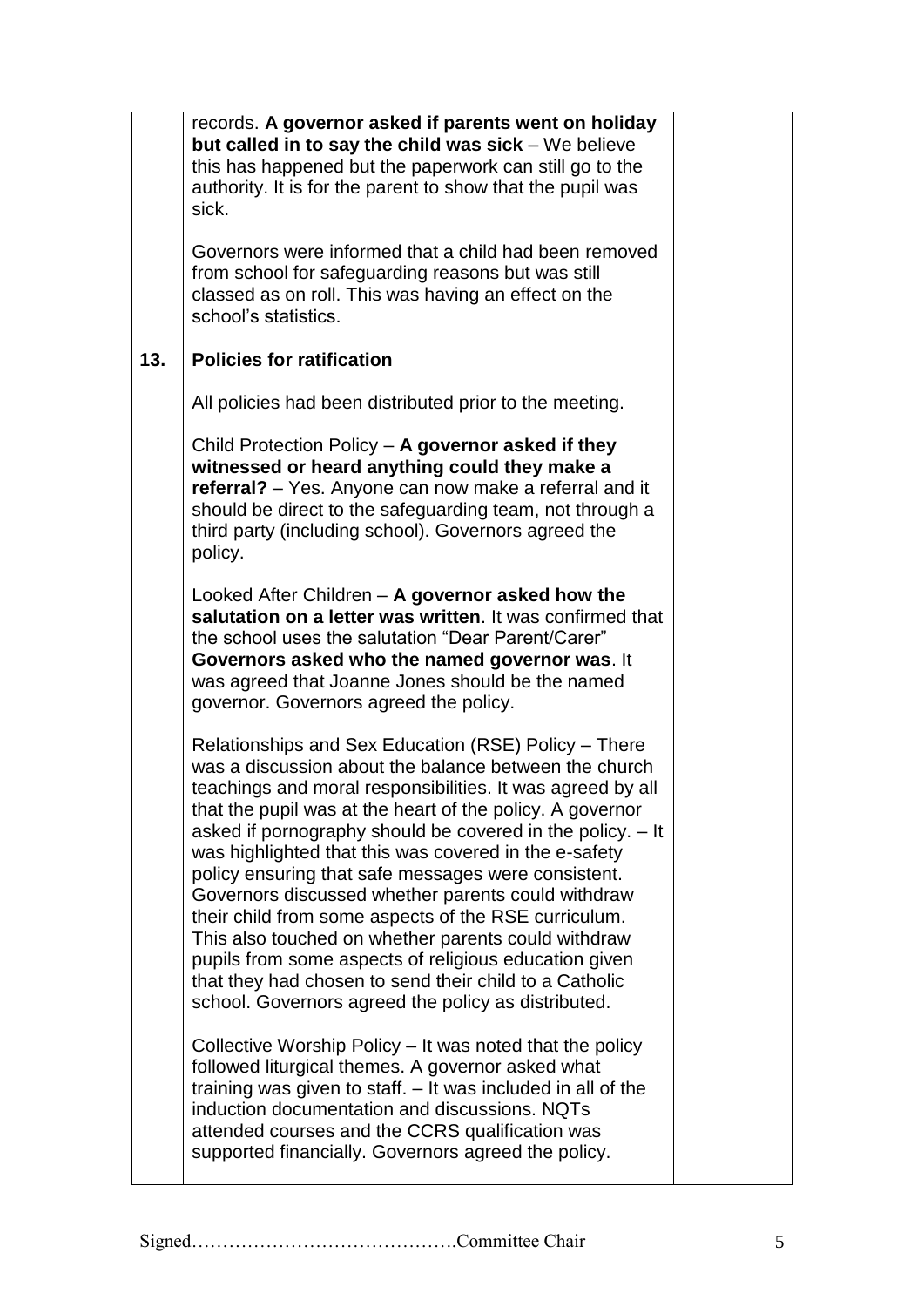|     | records. A governor asked if parents went on holiday<br>but called in to say the child was sick $-$ We believe<br>this has happened but the paperwork can still go to the<br>authority. It is for the parent to show that the pupil was<br>sick.<br>Governors were informed that a child had been removed<br>from school for safeguarding reasons but was still<br>classed as on roll. This was having an effect on the<br>school's statistics.                                                                                                                                                                                                                                                                                                                       |  |
|-----|-----------------------------------------------------------------------------------------------------------------------------------------------------------------------------------------------------------------------------------------------------------------------------------------------------------------------------------------------------------------------------------------------------------------------------------------------------------------------------------------------------------------------------------------------------------------------------------------------------------------------------------------------------------------------------------------------------------------------------------------------------------------------|--|
| 13. | <b>Policies for ratification</b>                                                                                                                                                                                                                                                                                                                                                                                                                                                                                                                                                                                                                                                                                                                                      |  |
|     | All policies had been distributed prior to the meeting.                                                                                                                                                                                                                                                                                                                                                                                                                                                                                                                                                                                                                                                                                                               |  |
|     | Child Protection Policy - A governor asked if they<br>witnessed or heard anything could they make a<br>referral? – Yes. Anyone can now make a referral and it<br>should be direct to the safeguarding team, not through a<br>third party (including school). Governors agreed the<br>policy.                                                                                                                                                                                                                                                                                                                                                                                                                                                                          |  |
|     | Looked After Children - A governor asked how the<br>salutation on a letter was written. It was confirmed that<br>the school uses the salutation "Dear Parent/Carer"<br>Governors asked who the named governor was. It<br>was agreed that Joanne Jones should be the named<br>governor. Governors agreed the policy.                                                                                                                                                                                                                                                                                                                                                                                                                                                   |  |
|     | Relationships and Sex Education (RSE) Policy - There<br>was a discussion about the balance between the church<br>teachings and moral responsibilities. It was agreed by all<br>that the pupil was at the heart of the policy. A governor<br>asked if pornography should be covered in the policy. - It<br>was highlighted that this was covered in the e-safety<br>policy ensuring that safe messages were consistent.<br>Governors discussed whether parents could withdraw<br>their child from some aspects of the RSE curriculum.<br>This also touched on whether parents could withdraw<br>pupils from some aspects of religious education given<br>that they had chosen to send their child to a Catholic<br>school. Governors agreed the policy as distributed. |  |
|     | Collective Worship Policy – It was noted that the policy<br>followed liturgical themes. A governor asked what<br>training was given to staff. - It was included in all of the<br>induction documentation and discussions. NQTs<br>attended courses and the CCRS qualification was<br>supported financially. Governors agreed the policy.                                                                                                                                                                                                                                                                                                                                                                                                                              |  |